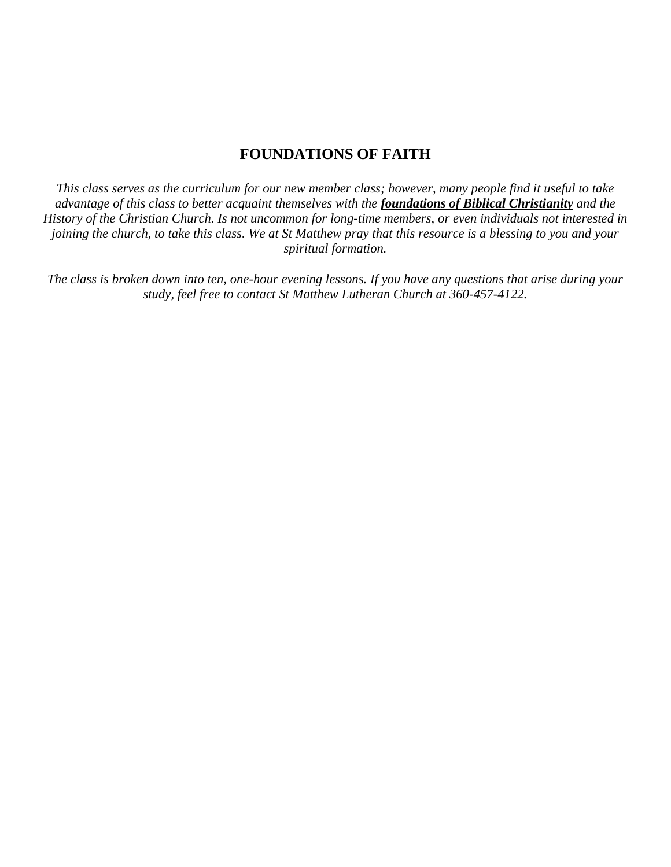#### **FOUNDATIONS OF FAITH**

*This class serves as the curriculum for our new member class; however, many people find it useful to take advantage of this class to better acquaint themselves with the foundations of Biblical Christianity and the History of the Christian Church. Is not uncommon for long-time members, or even individuals not interested in joining the church, to take this class. We at St Matthew pray that this resource is a blessing to you and your spiritual formation.* 

*The class is broken down into ten, one-hour evening lessons. If you have any questions that arise during your study, feel free to contact St Matthew Lutheran Church at 360-457-4122.*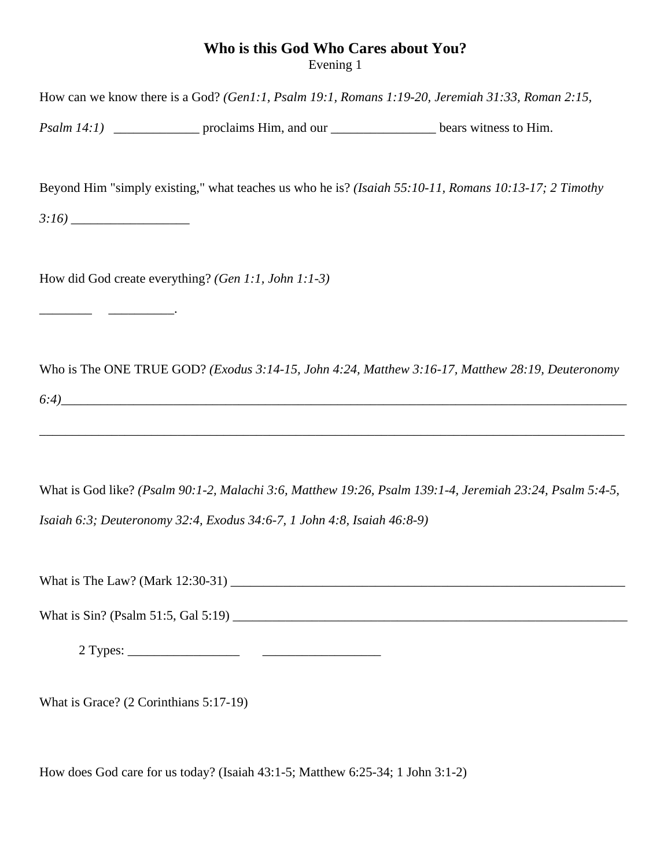### **Who is this God Who Cares about You?** Evening 1

| How can we know there is a God? (Gen1:1, Psalm 19:1, Romans 1:19-20, Jeremiah 31:33, Roman 2:15,       |                                                                                                          |
|--------------------------------------------------------------------------------------------------------|----------------------------------------------------------------------------------------------------------|
| <i>Psalm 14:1</i> ) _________________ proclaims Him, and our ___________________ bears witness to Him. |                                                                                                          |
| Beyond Him "simply existing," what teaches us who he is? (Isaiah 55:10-11, Romans 10:13-17; 2 Timothy  |                                                                                                          |
| How did God create everything? (Gen 1:1, John 1:1-3)                                                   |                                                                                                          |
|                                                                                                        | Who is The ONE TRUE GOD? (Exodus 3:14-15, John 4:24, Matthew 3:16-17, Matthew 28:19, Deuteronomy         |
| Isaiah 6:3; Deuteronomy 32:4, Exodus 34:6-7, 1 John 4:8, Isaiah 46:8-9)                                | What is God like? (Psalm 90:1-2, Malachi 3:6, Matthew 19:26, Psalm 139:1-4, Jeremiah 23:24, Psalm 5:4-5, |
|                                                                                                        |                                                                                                          |
|                                                                                                        |                                                                                                          |

What is Grace? (2 Corinthians 5:17-19)

How does God care for us today? (Isaiah 43:1-5; Matthew 6:25-34; 1 John 3:1-2)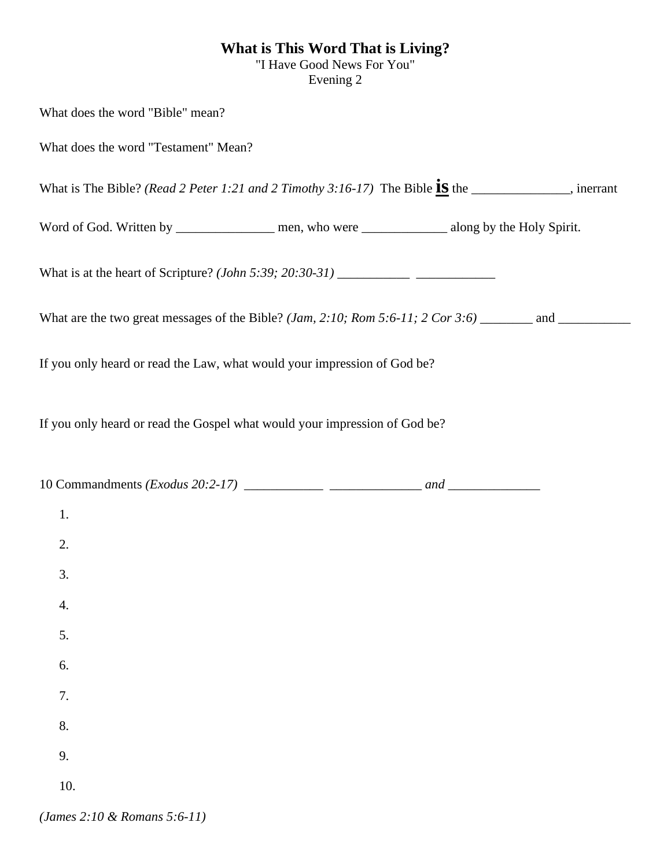#### **What is This Word That is Living?**

"I Have Good News For You" Evening 2

What does the word "Bible" mean? What does the word "Testament" Mean? What is The Bible? *(Read 2 Peter 1:21 and 2 Timothy 3:16-17)* The Bible  $\frac{1}{15}$  the \_\_\_\_\_\_\_\_\_\_\_, inerrant Word of God. Written by \_\_\_\_\_\_\_\_\_\_\_\_\_\_\_\_\_ men, who were \_\_\_\_\_\_\_\_\_\_\_\_\_\_\_\_\_\_ along by the Holy Spirit. What is at the heart of Scripture? *(John 5:39; 20:30-31)* \_\_\_\_\_\_\_\_\_\_\_ \_\_\_\_\_\_\_\_\_\_\_\_ What are the two great messages of the Bible? *(Jam, 2:10; Rom 5:6-11; 2 Cor 3:6)* \_\_\_\_\_\_\_\_ and \_\_\_\_\_\_\_\_\_\_\_ If you only heard or read the Law, what would your impression of God be? If you only heard or read the Gospel what would your impression of God be? 10 Commandments *(Exodus 20:2-17) \_\_\_\_\_\_\_\_\_\_\_\_ \_\_\_\_\_\_\_\_\_\_\_\_\_\_ and \_\_\_\_\_\_\_\_\_\_\_\_\_\_* 1. 2. 3. 4. 5. 6. 7. 8. 9. 10.

*(James 2:10 & Romans 5:6-11)*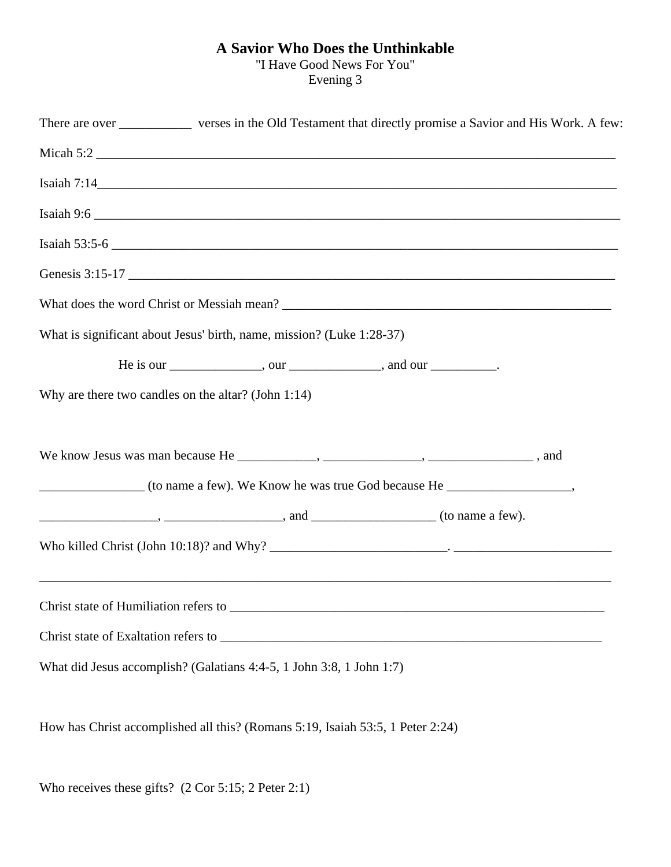### **A Savior Who Does the Unthinkable**

"I Have Good News For You" Evening 3

| There are over ____________ verses in the Old Testament that directly promise a Savior and His Work. A few: |  |
|-------------------------------------------------------------------------------------------------------------|--|
|                                                                                                             |  |
| Isaiah 7:14                                                                                                 |  |
|                                                                                                             |  |
| Isaiah $53:5-6$                                                                                             |  |
| Genesis 3:15-17                                                                                             |  |
|                                                                                                             |  |
| What is significant about Jesus' birth, name, mission? (Luke 1:28-37)                                       |  |
| He is our _______________, our ______________, and our __________.                                          |  |
| Why are there two candles on the altar? (John 1:14)                                                         |  |
|                                                                                                             |  |
|                                                                                                             |  |
|                                                                                                             |  |
| $\ldots$ , $\ldots$ , $\ldots$ , and $\ldots$ (to name a few).                                              |  |
|                                                                                                             |  |
|                                                                                                             |  |
|                                                                                                             |  |
|                                                                                                             |  |
| What did Jesus accomplish? (Galatians 4:4-5, 1 John 3:8, 1 John 1:7)                                        |  |

How has Christ accomplished all this? (Romans 5:19, Isaiah 53:5, 1 Peter 2:24)

Who receives these gifts? (2 Cor 5:15; 2 Peter 2:1)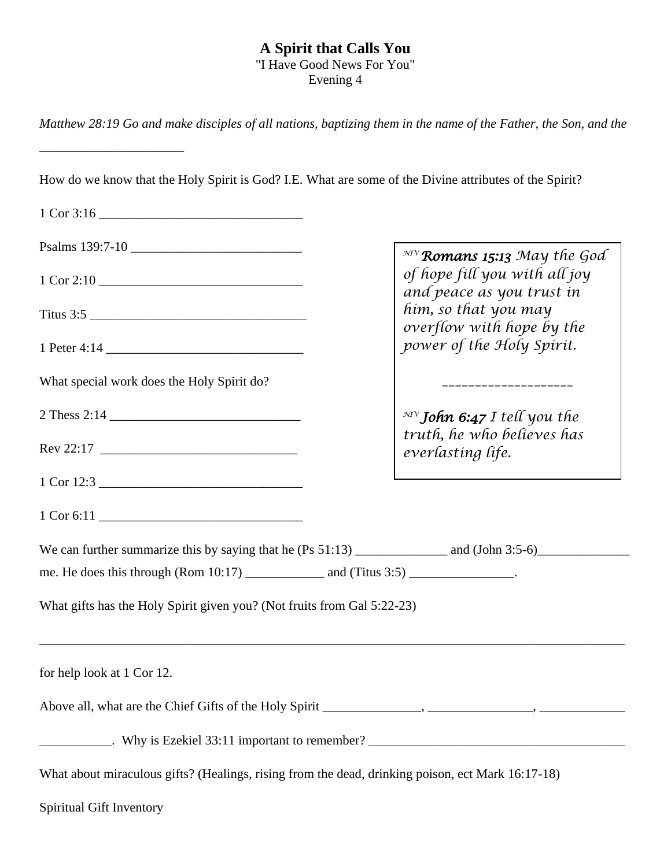### **A Spirit that Calls You**

"I Have Good News For You" Evening 4

*Matthew 28:19 Go and make disciples of all nations, baptizing them in the name of the Father, the Son, and the* 

| How do we know that the Holy Spirit is God? I.E. What are some of the Divine attributes of the Spirit?         |                                                            |
|----------------------------------------------------------------------------------------------------------------|------------------------------------------------------------|
|                                                                                                                |                                                            |
|                                                                                                                |                                                            |
| Psalms 139:7-10                                                                                                | $\mathbb{R}^{M}$ Romans 15:13 May the God                  |
|                                                                                                                | of hope fill you with all joy<br>and peace as you trust in |
| Titus 3:5                                                                                                      | him, so that you may                                       |
|                                                                                                                | overflow with hope by the<br>power of the Holy Spirit.     |
| What special work does the Holy Spirit do?                                                                     | __________________                                         |
|                                                                                                                | $\mathbb{R}^N$ John 6:47 I tell you the                    |
|                                                                                                                | truth, he who believes has<br>everlasting life.            |
| 1 Cor 12:3                                                                                                     |                                                            |
|                                                                                                                |                                                            |
|                                                                                                                |                                                            |
|                                                                                                                |                                                            |
| What gifts has the Holy Spirit given you? (Not fruits from Gal 5:22-23)                                        |                                                            |
| for help look at 1 Cor 12.                                                                                     |                                                            |
| Above all, what are the Chief Gifts of the Holy Spirit _____________, ___________, _________,                  |                                                            |
| Lackson Communication Communication Communication Communication Communication Communication Communication Comm |                                                            |
| What about miraculous gifts? (Healings, rising from the dead, drinking poison, ect Mark 16:17-18)              |                                                            |
| <b>Spiritual Gift Inventory</b>                                                                                |                                                            |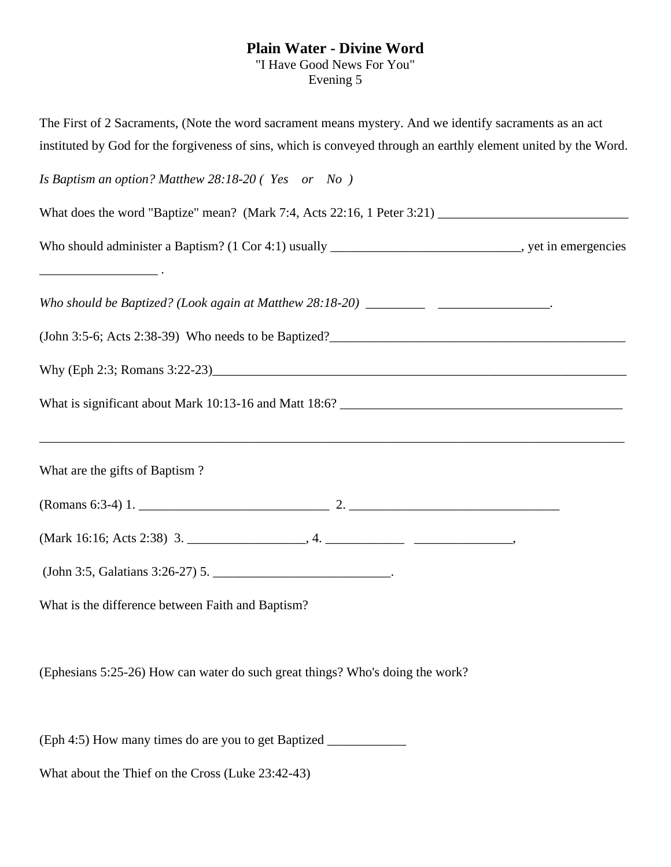# **Plain Water - Divine Word**

"I Have Good News For You" Evening 5

| The First of 2 Sacraments, (Note the word sacrament means mystery. And we identify sacraments as an act         |
|-----------------------------------------------------------------------------------------------------------------|
| instituted by God for the forgiveness of sins, which is conveyed through an earthly element united by the Word. |
| Is Baptism an option? Matthew 28:18-20 (Yes or No)                                                              |
|                                                                                                                 |
| Who should administer a Baptism? (1 Cor 4:1) usually ____________________________, yet in emergencies           |
|                                                                                                                 |
|                                                                                                                 |
|                                                                                                                 |
|                                                                                                                 |
| What are the gifts of Baptism?                                                                                  |
|                                                                                                                 |
|                                                                                                                 |
| (John 3:5, Galatians 3:26-27) 5.                                                                                |
| What is the difference between Faith and Baptism?                                                               |
|                                                                                                                 |

(Ephesians 5:25-26) How can water do such great things? Who's doing the work?

(Eph 4:5) How many times do are you to get Baptized \_\_\_\_\_\_\_\_\_\_\_\_

What about the Thief on the Cross (Luke 23:42-43)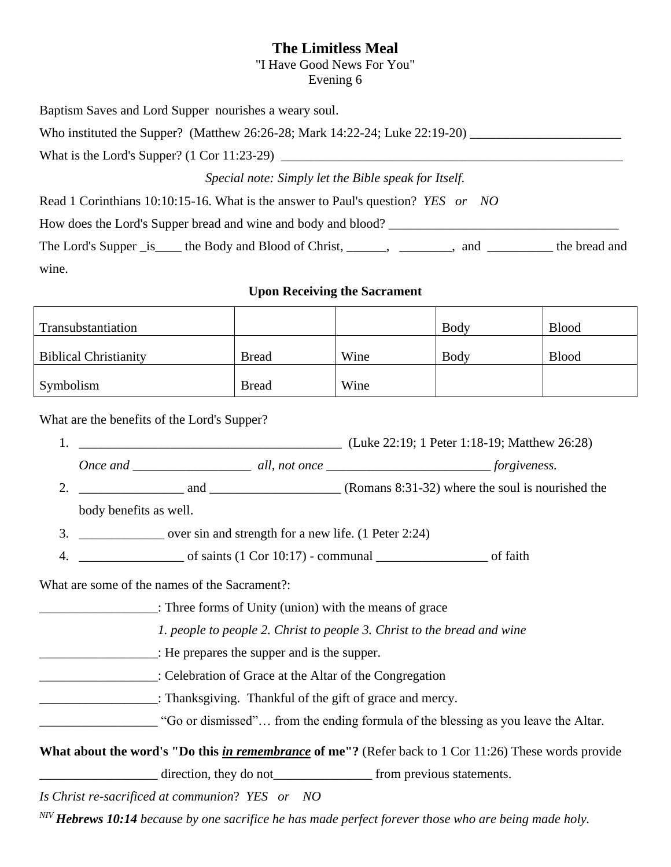### **The Limitless Meal**

"I Have Good News For You"

Evening 6

| Baptism Saves and Lord Supper nourishes a weary soul.                                                                                             |                                                                             |                                     |      |              |
|---------------------------------------------------------------------------------------------------------------------------------------------------|-----------------------------------------------------------------------------|-------------------------------------|------|--------------|
| Who instituted the Supper? (Matthew 26:26-28; Mark 14:22-24; Luke 22:19-20) ________________________                                              |                                                                             |                                     |      |              |
|                                                                                                                                                   |                                                                             |                                     |      |              |
|                                                                                                                                                   | Special note: Simply let the Bible speak for Itself.                        |                                     |      |              |
| Read 1 Corinthians 10:10:15-16. What is the answer to Paul's question? YES or NO                                                                  |                                                                             |                                     |      |              |
| How does the Lord's Supper bread and wine and body and blood?                                                                                     |                                                                             |                                     |      |              |
| The Lord's Supper _is____ the Body and Blood of Christ, ______, ________, and ________ the bread and                                              |                                                                             |                                     |      |              |
| wine.                                                                                                                                             |                                                                             |                                     |      |              |
|                                                                                                                                                   |                                                                             | <b>Upon Receiving the Sacrament</b> |      |              |
| Transubstantiation                                                                                                                                |                                                                             |                                     | Body | <b>Blood</b> |
| <b>Biblical Christianity</b>                                                                                                                      | <b>Bread</b>                                                                | Wine                                | Body | <b>Blood</b> |
| Symbolism                                                                                                                                         | <b>Bread</b>                                                                | Wine                                |      |              |
| What are the benefits of the Lord's Supper?<br>body benefits as well.<br>3. ________________ over sin and strength for a new life. (1 Peter 2:24) |                                                                             |                                     |      |              |
| 4.                                                                                                                                                | $\frac{1}{2}$ of saints (1 Cor 10:17) - communal $\frac{1}{2}$ of faith     |                                     |      |              |
| What are some of the names of the Sacrament?:                                                                                                     |                                                                             |                                     |      |              |
| : Three forms of Unity (union) with the means of grace                                                                                            |                                                                             |                                     |      |              |
|                                                                                                                                                   | 1. people to people 2. Christ to people 3. Christ to the bread and wine     |                                     |      |              |
| $\blacksquare$ : He prepares the supper and is the supper.                                                                                        |                                                                             |                                     |      |              |
| Celebration of Grace at the Altar of the Congregation                                                                                             |                                                                             |                                     |      |              |
| Thanksgiving. Thankful of the gift of grace and mercy.                                                                                            |                                                                             |                                     |      |              |
| "Go or dismissed" from the ending formula of the blessing as you leave the Altar.                                                                 |                                                                             |                                     |      |              |
| What about the word's "Do this <i>in remembrance</i> of me"? (Refer back to 1 Cor 11:26) These words provide                                      |                                                                             |                                     |      |              |
|                                                                                                                                                   | direction, they do not<br><u>________________</u> from previous statements. |                                     |      |              |
| Is Christ re-sacrificed at communion? YES or NO                                                                                                   |                                                                             |                                     |      |              |

*NIV Hebrews 10:14 because by one sacrifice he has made perfect forever those who are being made holy.*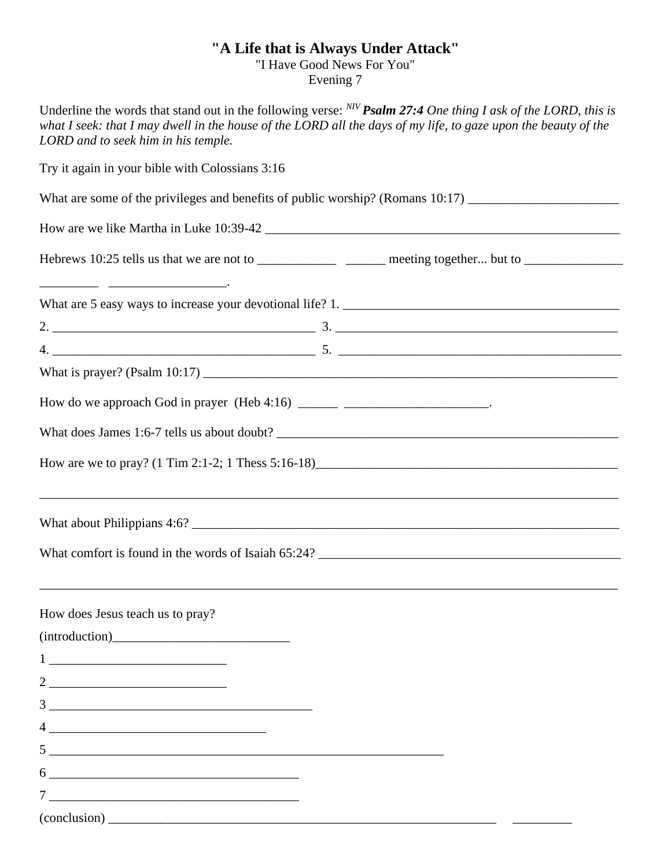### **"A Life that is Always Under Attack"**

"I Have Good News For You"

Evening 7

| Underline the words that stand out in the following verse: $^{NP}$ Psalm 27:4 One thing I ask of the LORD, this is<br>what I seek: that I may dwell in the house of the LORD all the days of my life, to gaze upon the beauty of the<br>LORD and to seek him in his temple.                                                                                                                                                                                                   |
|-------------------------------------------------------------------------------------------------------------------------------------------------------------------------------------------------------------------------------------------------------------------------------------------------------------------------------------------------------------------------------------------------------------------------------------------------------------------------------|
| Try it again in your bible with Colossians 3:16                                                                                                                                                                                                                                                                                                                                                                                                                               |
|                                                                                                                                                                                                                                                                                                                                                                                                                                                                               |
|                                                                                                                                                                                                                                                                                                                                                                                                                                                                               |
| Hebrews 10:25 tells us that we are not to ___________________ meeting together but to _____________________                                                                                                                                                                                                                                                                                                                                                                   |
|                                                                                                                                                                                                                                                                                                                                                                                                                                                                               |
|                                                                                                                                                                                                                                                                                                                                                                                                                                                                               |
|                                                                                                                                                                                                                                                                                                                                                                                                                                                                               |
|                                                                                                                                                                                                                                                                                                                                                                                                                                                                               |
| How do we approach God in prayer (Heb 4:16) _______ ________________________.                                                                                                                                                                                                                                                                                                                                                                                                 |
|                                                                                                                                                                                                                                                                                                                                                                                                                                                                               |
|                                                                                                                                                                                                                                                                                                                                                                                                                                                                               |
|                                                                                                                                                                                                                                                                                                                                                                                                                                                                               |
| What comfort is found in the words of Isaiah 65:24?                                                                                                                                                                                                                                                                                                                                                                                                                           |
| How does Jesus teach us to pray?                                                                                                                                                                                                                                                                                                                                                                                                                                              |
| (introduction)                                                                                                                                                                                                                                                                                                                                                                                                                                                                |
| $\begin{tabular}{c} 1 & \textcolor{red}{\textbf{1}} & \textcolor{red}{\textbf{1}} & \textcolor{red}{\textbf{1}} \\ \end{tabular}$                                                                                                                                                                                                                                                                                                                                             |
| $2 \underline{\hspace{1cm}}$                                                                                                                                                                                                                                                                                                                                                                                                                                                  |
| $\begin{tabular}{c} 3 \end{tabular}$                                                                                                                                                                                                                                                                                                                                                                                                                                          |
|                                                                                                                                                                                                                                                                                                                                                                                                                                                                               |
| $5$ $\overline{\phantom{a}}$                                                                                                                                                                                                                                                                                                                                                                                                                                                  |
| $\overline{6}$ $\overline{\phantom{a}}$ $\overline{\phantom{a}}$ $\overline{\phantom{a}}$ $\overline{\phantom{a}}$ $\overline{\phantom{a}}$ $\overline{\phantom{a}}$ $\overline{\phantom{a}}$ $\overline{\phantom{a}}$ $\overline{\phantom{a}}$ $\overline{\phantom{a}}$ $\overline{\phantom{a}}$ $\overline{\phantom{a}}$ $\overline{\phantom{a}}$ $\overline{\phantom{a}}$ $\overline{\phantom{a}}$ $\overline{\phantom{a}}$ $\overline{\phantom{a}}$ $\overline{\phantom{$ |
|                                                                                                                                                                                                                                                                                                                                                                                                                                                                               |
|                                                                                                                                                                                                                                                                                                                                                                                                                                                                               |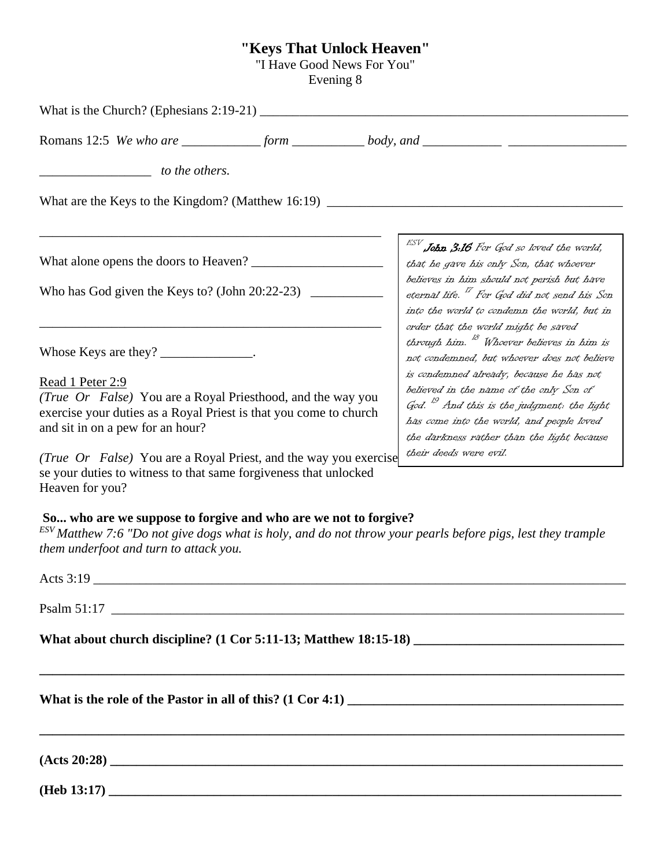#### **"Keys That Unlock Heaven"**

"I Have Good News For You"

Evening 8

What is the Church? (Ephesians 2:19-21) \_\_\_\_\_\_\_\_\_\_\_\_\_\_\_\_\_\_\_\_\_\_\_\_\_\_\_\_\_\_\_\_\_\_\_\_\_\_\_\_\_\_\_\_\_\_\_\_\_\_\_\_\_\_\_\_ Romans 12:5 *We who are* form body, and **body** *\_\_\_\_\_\_\_\_\_\_\_\_\_\_\_\_\_ to the others.* What are the Keys to the Kingdom? (Matthew  $16:19$ ) \_\_\_\_\_\_\_\_\_\_\_\_\_\_\_\_\_\_\_\_\_\_\_\_\_\_\_\_\_\_\_\_\_\_\_\_\_\_\_\_\_\_\_\_\_\_\_\_\_\_\_\_ What alone opens the doors to Heaven? \_\_\_\_\_\_\_\_\_\_\_\_\_\_\_\_\_\_\_\_ Who has God given the Keys to? (John  $20:22-23$ ) \_\_\_\_\_\_\_\_\_\_\_\_\_\_\_\_\_\_\_\_\_\_\_\_\_\_\_\_\_\_\_\_\_\_\_\_\_\_\_\_\_\_\_\_\_\_\_\_\_\_\_\_ Whose Keys are they? \_\_\_\_\_\_\_\_\_\_\_\_\_. Read 1 Peter 2:9 *(True Or False)* You are a Royal Priesthood, and the way you exercise your duties as a Royal Priest is that you come to church and sit in on a pew for an hour? *(True Or False)* You are a Royal Priest, and the way you exercise se your duties to witness to that same forgiveness that unlocked Heaven for you? **So... who are we suppose to forgive and who are we not to forgive?** *ESV Matthew 7:6 "Do not give dogs what is holy, and do not throw your pearls before pigs, lest they trample them underfoot and turn to attack you.* Acts  $3:19$ Psalm 51:17 **What about church discipline? (1 Cor 5:11-13; Matthew 18:15-18) \_\_\_\_\_\_\_\_\_\_\_\_\_\_\_\_\_\_\_\_\_\_\_\_\_\_\_\_\_\_\_\_ \_\_\_\_\_\_\_\_\_\_\_\_\_\_\_\_\_\_\_\_\_\_\_\_\_\_\_\_\_\_\_\_\_\_\_\_\_\_\_\_\_\_\_\_\_\_\_\_\_\_\_\_\_\_\_\_\_\_\_\_\_\_\_\_\_\_\_\_\_\_\_\_\_\_\_\_\_\_\_\_\_\_\_\_\_\_\_\_\_** What is the role of the Pastor in all of this? (1 Cor 4:1) **\_\_\_\_\_\_\_\_\_\_\_\_\_\_\_\_\_\_\_\_\_\_\_\_\_\_\_\_\_\_\_\_\_\_\_\_\_\_\_\_\_\_\_\_\_\_\_\_\_\_\_\_\_\_\_\_\_\_\_\_\_\_\_\_\_\_\_\_\_\_\_\_\_\_\_\_\_\_\_\_\_\_\_\_\_\_\_\_\_**  $(Acts 20:28)$ **(Heb 13:17)**  $\blacksquare$  $^{ESV}$  John  $3:16$  For God so loved the world, that he gave his only Son, that whoever believes in him should not perish but have eternal life. <sup>17</sup> For God did not send his Son into the world to condemn the world, but in order that the world might be saved through him. <sup>18</sup> Whoever believes in him is not condemned, but whoever does not believe is condemned already, because he has not believed in the name of the only Son of God. <sup>19</sup> And this is the judgment: the light has come into the world, and people loved the darkness rather than the light because their deeds were evil.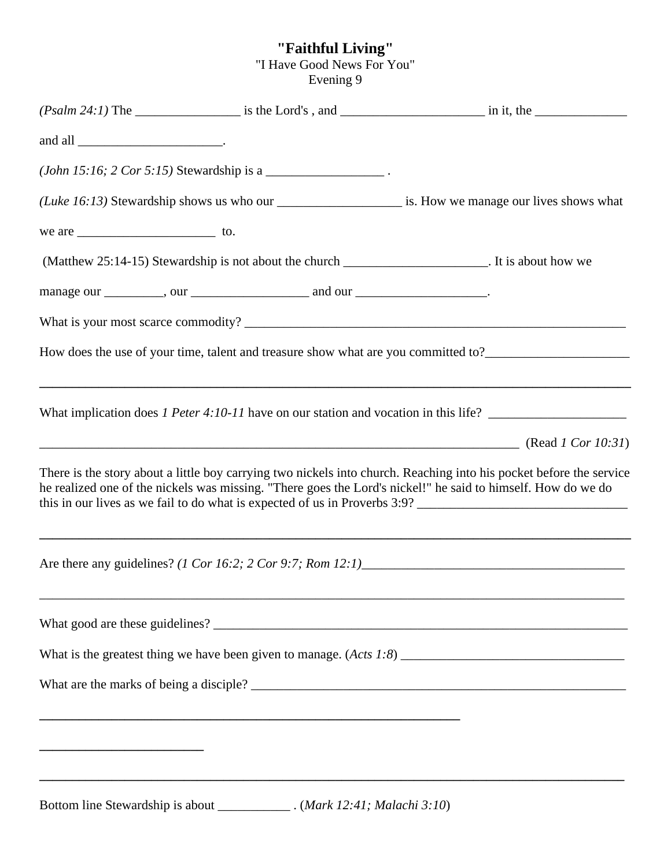### **"Faithful Living"**

"I Have Good News For You"

Evening 9

|               | ( <i>John 15:16</i> ; $2 \text{ Cor } 5:15$ ) Stewardship is a _________________________.      |                                                                                                                                                                                                                                                                                                                                                       |
|---------------|------------------------------------------------------------------------------------------------|-------------------------------------------------------------------------------------------------------------------------------------------------------------------------------------------------------------------------------------------------------------------------------------------------------------------------------------------------------|
|               |                                                                                                | (Luke 16:13) Stewardship shows us who our _______________________ is. How we manage our lives shows what                                                                                                                                                                                                                                              |
| we are $\_\_$ |                                                                                                |                                                                                                                                                                                                                                                                                                                                                       |
|               | (Matthew 25:14-15) Stewardship is not about the church ___________________. It is about how we |                                                                                                                                                                                                                                                                                                                                                       |
|               |                                                                                                |                                                                                                                                                                                                                                                                                                                                                       |
|               |                                                                                                |                                                                                                                                                                                                                                                                                                                                                       |
|               |                                                                                                | How does the use of your time, talent and treasure show what are you committed to?____________________________                                                                                                                                                                                                                                        |
|               |                                                                                                |                                                                                                                                                                                                                                                                                                                                                       |
|               |                                                                                                | There is the story about a little boy carrying two nickels into church. Reaching into his pocket before the service<br>he realized one of the nickels was missing. "There goes the Lord's nickel!" he said to himself. How do we do<br>this in our lives as we fail to do what is expected of us in Proverbs 3:9? ___________________________________ |
|               |                                                                                                | Are there any guidelines? (1 Cor 16:2; 2 Cor 9:7; Rom 12:1)                                                                                                                                                                                                                                                                                           |
|               |                                                                                                |                                                                                                                                                                                                                                                                                                                                                       |
|               |                                                                                                |                                                                                                                                                                                                                                                                                                                                                       |
|               |                                                                                                |                                                                                                                                                                                                                                                                                                                                                       |
|               |                                                                                                |                                                                                                                                                                                                                                                                                                                                                       |
|               |                                                                                                |                                                                                                                                                                                                                                                                                                                                                       |
|               | Rottom line Stewardship is about $(Mark 12 \cdot 41 \cdot Malachi 3 \cdot 10)$                 |                                                                                                                                                                                                                                                                                                                                                       |

Bottom line Stewardship is about \_\_\_\_\_\_\_\_\_\_\_ . (*Mark 12:41; Malachi 3:10*)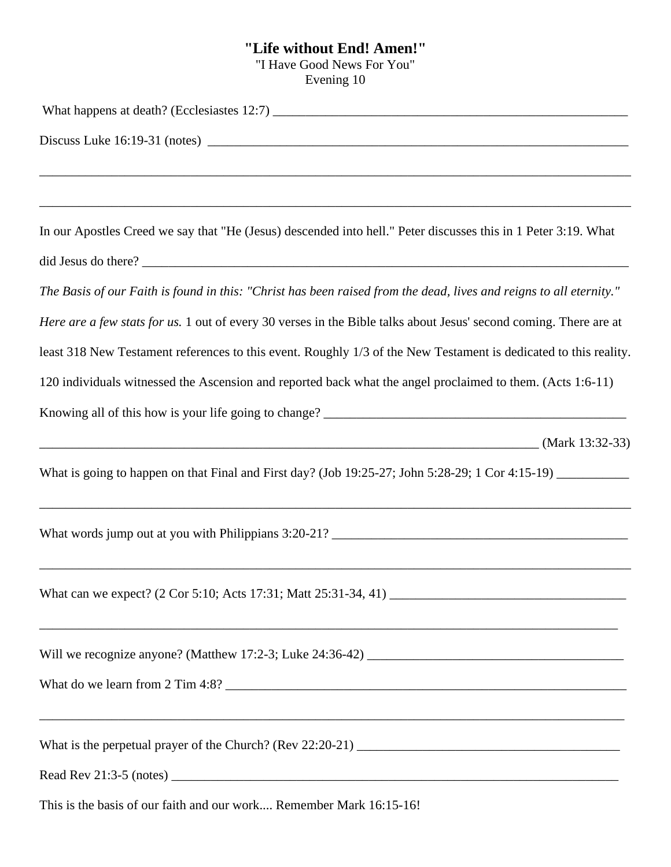## **"Life without End! Amen!"**

"I Have Good News For You"

Evening 10

| In our Apostles Creed we say that "He (Jesus) descended into hell." Peter discusses this in 1 Peter 3:19. What     |
|--------------------------------------------------------------------------------------------------------------------|
|                                                                                                                    |
| The Basis of our Faith is found in this: "Christ has been raised from the dead, lives and reigns to all eternity." |
| Here are a few stats for us. 1 out of every 30 verses in the Bible talks about Jesus' second coming. There are at  |
| least 318 New Testament references to this event. Roughly 1/3 of the New Testament is dedicated to this reality.   |
| 120 individuals witnessed the Ascension and reported back what the angel proclaimed to them. (Acts 1:6-11)         |
|                                                                                                                    |
| $\frac{1}{2}$ (Mark 13:32-33)                                                                                      |
| What is going to happen on that Final and First day? (Job 19:25-27; John 5:28-29; 1 Cor 4:15-19) _____________     |
| ,我们也不会有什么。""我们的人,我们也不会有什么?""我们的人,我们也不会有什么?""我们的人,我们也不会有什么?""我们的人,我们也不会有什么?""我们的人                                   |
|                                                                                                                    |
|                                                                                                                    |
|                                                                                                                    |
|                                                                                                                    |
|                                                                                                                    |
| This is the basis of our faith and our work Remember Mark 16:15-16!                                                |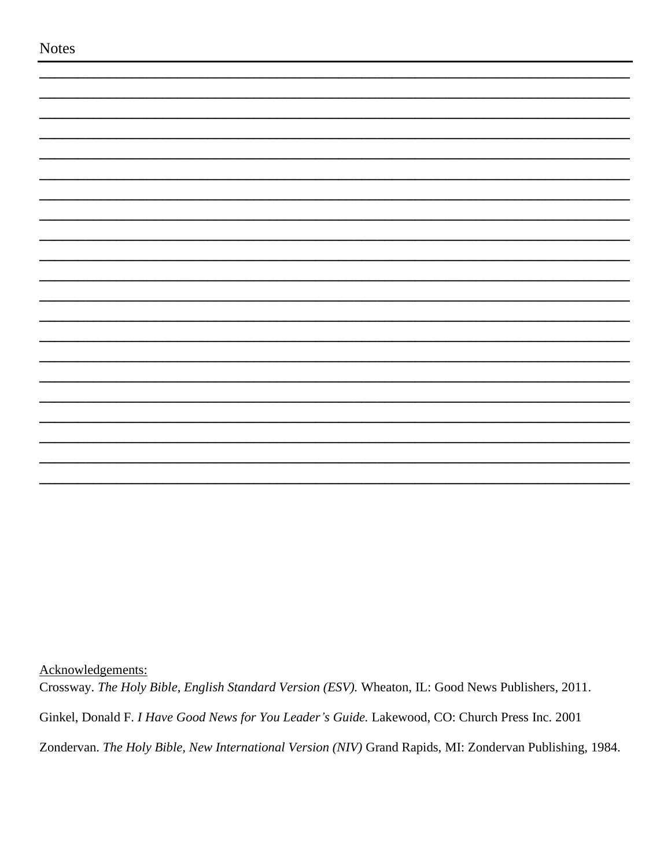Acknowledgements:

Crossway. The Holy Bible, English Standard Version (ESV). Wheaton, IL: Good News Publishers, 2011.

Ginkel, Donald F. I Have Good News for You Leader's Guide. Lakewood, CO: Church Press Inc. 2001

Zondervan. The Holy Bible, New International Version (NIV) Grand Rapids, MI: Zondervan Publishing, 1984.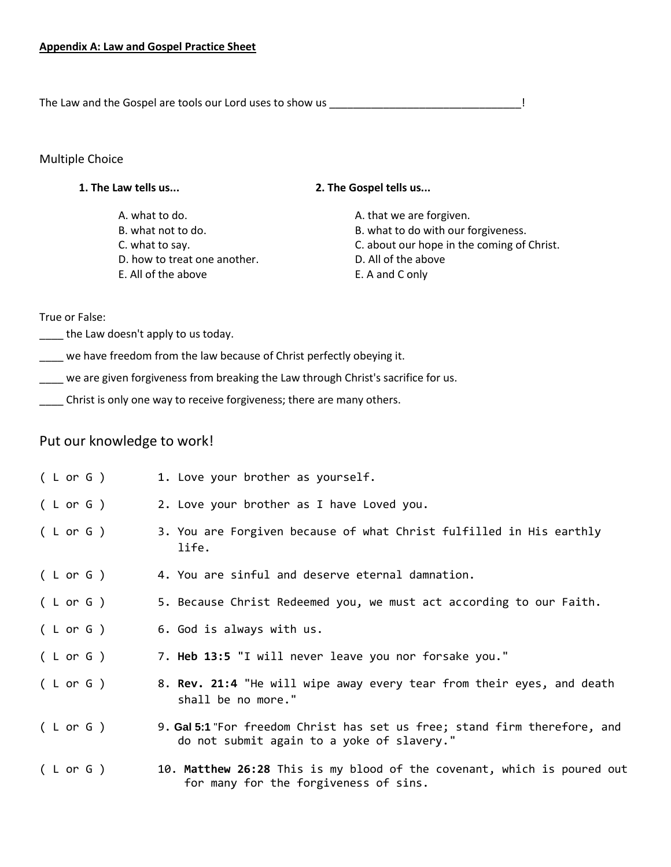The Law and the Gospel are tools our Lord uses to show us \_\_\_\_\_\_\_\_\_\_\_\_\_\_\_\_\_\_\_\_\_\_\_\_\_\_\_\_\_\_\_\_!

#### Multiple Choice

#### **1. The Law tells us... 2. The Gospel tells us...**

A. what to do.  $\qquad \qquad$  A. that we are forgiven. D. how to treat one another. D. All of the above E. All of the above **E.** A and C only

B. what not to do.  $\qquad \qquad$  B. what to do with our forgiveness. C. what to say. C. about our hope in the coming of Christ.

True or False:

the Law doesn't apply to us today.

we have freedom from the law because of Christ perfectly obeying it.

\_\_\_\_ we are given forgiveness from breaking the Law through Christ's sacrifice for us.

\_\_\_\_ Christ is only one way to receive forgiveness; there are many others.

### Put our knowledge to work!

| (Lor G) | 1. Love your brother as yourself.                                                                                       |
|---------|-------------------------------------------------------------------------------------------------------------------------|
| (Lor G) | 2. Love your brother as I have Loved you.                                                                               |
| (Lor G) | 3. You are Forgiven because of what Christ fulfilled in His earthly<br>life.                                            |
| (Lor G) | 4. You are sinful and deserve eternal damnation.                                                                        |
| (Lor G) | 5. Because Christ Redeemed you, we must act according to our Faith.                                                     |
| (Lor G) | 6. God is always with us.                                                                                               |
| (Lor G) | 7. Heb 13:5 "I will never leave you nor forsake you."                                                                   |
| (Lor G) | 8. Rev. 21:4 "He will wipe away every tear from their eyes, and death<br>shall be no more."                             |
| (Lor G) | 9. Gal 5:1 "For freedom Christ has set us free; stand firm therefore, and<br>do not submit again to a yoke of slavery." |
| (Lor G) | 10. Matthew 26:28 This is my blood of the covenant, which is poured out<br>for many for the forgiveness of sins.        |